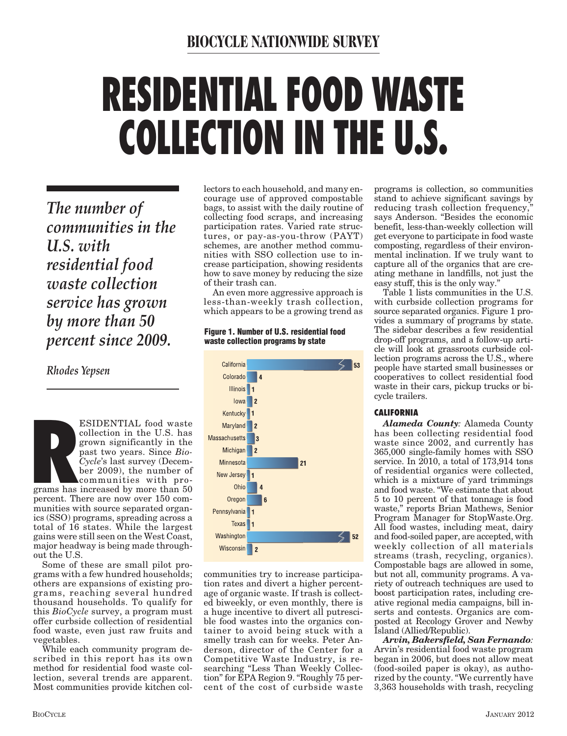# **RESIDENTIAL FOOD WASTE COLLECTION IN THE U.S.**

*The number of communities in the U.S. with residential food waste collection service has grown by more than 50 percent since 2009.* 

*Rhodes Yepsen*

**R** ESIDENTIAL food waste collection in the U.S. has grown significantly in the past two years. Since *Bio-Cycle*'s last survey (December 2009), the number of communities with pro-

grams has increased by more than 50 percent. There are now over 150 communities with source separated organics (SSO) programs, spreading across a total of 16 states. While the largest gains were still seen on the West Coast, major headway is being made throughout the U.S.

Some of these are small pilot programs with a few hundred households; others are expansions of existing programs, reaching several hundred thousand households. To qualify for this *BioCycle* survey, a program must offer curbside collection of residential food waste, even just raw fruits and vegetables.

While each community program described in this report has its own method for residential food waste collection, several trends are apparent. Most communities provide kitchen collectors to each household, and many encourage use of approved compostable bags, to assist with the daily routine of collecting food scraps, and increasing participation rates. Varied rate structures, or pay-as-you-throw (PAYT) schemes, are another method communities with SSO collection use to increase participation, showing residents how to save money by reducing the size of their trash can.

An even more aggressive approach is less-than-weekly trash collection, which appears to be a growing trend as

**Figure 1. Number of U.S. residential food waste collection programs by state**



communities try to increase participation rates and divert a higher percentage of organic waste. If trash is collected biweekly, or even monthly, there is a huge incentive to divert all putrescible food wastes into the organics container to avoid being stuck with a smelly trash can for weeks. Peter Anderson, director of the Center for a Competitive Waste Industry, is researching "Less Than Weekly Collection" for EPA Region 9. "Roughly 75 percent of the cost of curbside waste

programs is collection, so communities stand to achieve significant savings by reducing trash collection frequency, says Anderson. "Besides the economic benefit, less-than-weekly collection will get everyone to participate in food waste composting, regardless of their environmental inclination. If we truly want to capture all of the organics that are creating methane in landfills, not just the easy stuff, this is the only way."

Table 1 lists communities in the U.S. with curbside collection programs for source separated organics. Figure 1 provides a summary of programs by state. The sidebar describes a few residential drop-off programs, and a follow-up article will look at grassroots curbside collection programs across the U.S., where people have started small businesses or cooperatives to collect residential food waste in their cars, pickup trucks or bicycle trailers.

#### **CALIFORNIA**

*Alameda County:* Alameda County has been collecting residential food waste since 2002, and currently has 365,000 single-family homes with SSO service. In 2010, a total of 173,914 tons of residential organics were collected, which is a mixture of yard trimmings and food waste. "We estimate that about 5 to 10 percent of that tonnage is food waste," reports Brian Mathews, Senior Program Manager for StopWaste.Org. All food wastes, including meat, dairy and food-soiled paper, are accepted, with weekly collection of all materials streams (trash, recycling, organics). Compostable bags are allowed in some, but not all, community programs. A variety of outreach techniques are used to boost participation rates, including creative regional media campaigns, bill inserts and contests. Organics are composted at Recology Grover and Newby Island (Allied/Republic).

*Arvin, Bakersfield, San Fernando:* Arvin's residential food waste program began in 2006, but does not allow meat (food-soiled paper is okay), as authorized by the county. "We currently have 3,363 households with trash, recycling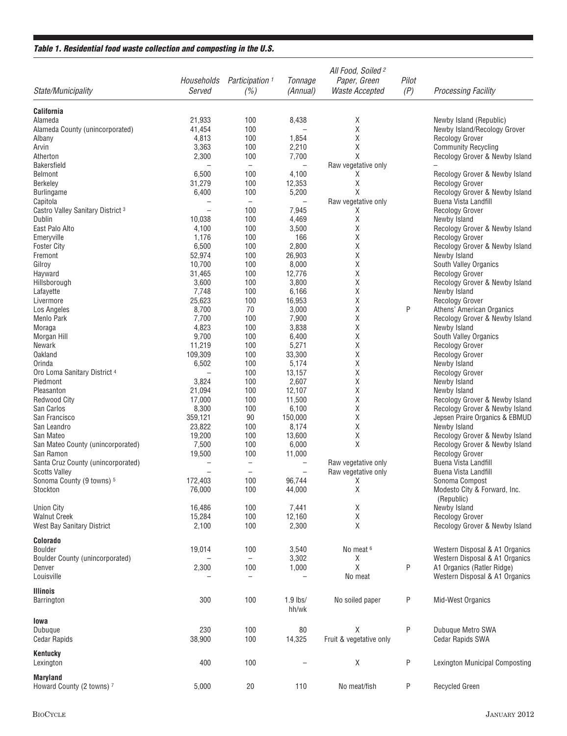#### **Table 1. Residential food waste collection and composting in the U.S.**

| State/Municipality                           | Households<br>Served     | Participation <sup>1</sup><br>(%) | Tonnage<br>(Annual)      | All Food, Soiled <sup>2</sup><br>Paper, Green<br><b>Waste Accepted</b> | Pilot<br>(P) | <b>Processing Facility</b>                     |
|----------------------------------------------|--------------------------|-----------------------------------|--------------------------|------------------------------------------------------------------------|--------------|------------------------------------------------|
| <b>California</b>                            |                          |                                   |                          |                                                                        |              |                                                |
| Alameda                                      | 21,933                   | 100                               | 8,438                    | Χ                                                                      |              | Newby Island (Republic)                        |
| Alameda County (unincorporated)              | 41,454                   | 100                               | $\overline{\phantom{0}}$ | Χ                                                                      |              | Newby Island/Recology Grover                   |
| Albany                                       | 4,813                    | 100                               | 1,854                    | χ                                                                      |              | <b>Recology Grover</b>                         |
| Arvin                                        | 3,363                    | 100                               | 2,210                    | Χ                                                                      |              | <b>Community Recycling</b>                     |
| Atherton                                     | 2,300                    | 100                               | 7,700                    | Χ                                                                      |              | Recology Grover & Newby Island                 |
| <b>Bakersfield</b>                           | $\overline{\phantom{0}}$ | $\overline{\phantom{0}}$          | $\qquad \qquad -$        | Raw vegetative only                                                    |              |                                                |
| <b>Belmont</b>                               | 6,500                    | 100                               | 4,100                    | X                                                                      |              | Recology Grover & Newby Island                 |
| <b>Berkeley</b>                              | 31,279                   | 100                               | 12,353                   | Χ                                                                      |              | <b>Recology Grover</b>                         |
| <b>Burlingame</b>                            | 6,400                    | 100                               | 5,200                    | Χ                                                                      |              | Recology Grover & Newby Island                 |
| Capitola                                     | $\overline{\phantom{0}}$ | $\qquad \qquad -$                 | $\overline{\phantom{m}}$ | Raw vegetative only                                                    |              | Buena Vista Landfill                           |
| Castro Valley Sanitary District <sup>3</sup> |                          | 100                               | 7,945                    | X                                                                      |              | <b>Recology Grover</b>                         |
| Dublin                                       | 10,038                   | 100                               | 4,469                    | Χ                                                                      |              | Newby Island                                   |
| East Palo Alto                               | 4,100                    | 100                               | 3,500                    | Χ                                                                      |              | Recology Grover & Newby Island                 |
| Emeryville                                   | 1,176                    | 100                               | 166                      | Χ                                                                      |              | <b>Recology Grover</b>                         |
| <b>Foster City</b>                           | 6,500                    | 100                               | 2,800                    | Χ                                                                      |              | Recology Grover & Newby Island                 |
| Fremont                                      | 52,974                   | 100                               | 26,903                   | Χ                                                                      |              | Newby Island                                   |
| Gilroy                                       | 10,700                   | 100                               | 8,000                    | Χ                                                                      |              | South Valley Organics                          |
| Hayward<br>Hillsborough                      | 31,465<br>3,600          | 100<br>100                        | 12,776<br>3,800          | Χ<br>Χ                                                                 |              | <b>Recology Grover</b>                         |
|                                              | 7,748                    | 100                               | 6,166                    | Χ                                                                      |              | Recology Grover & Newby Island<br>Newby Island |
| Lafayette<br>Livermore                       | 25,623                   | 100                               | 16,953                   | Χ                                                                      |              | <b>Recology Grover</b>                         |
| Los Angeles                                  | 8,700                    | 70                                | 3,000                    | Χ                                                                      | Ρ            | Athens' American Organics                      |
| Menlo Park                                   | 7,700                    | 100                               | 7,900                    | Χ                                                                      |              | Recology Grover & Newby Island                 |
| Moraga                                       | 4,823                    | 100                               | 3,838                    | Χ                                                                      |              | Newby Island                                   |
| Morgan Hill                                  | 9,700                    | 100                               | 6,400                    | Χ                                                                      |              | South Valley Organics                          |
| Newark                                       | 11,219                   | 100                               | 5,271                    | Χ                                                                      |              | <b>Recology Grover</b>                         |
| Oakland                                      | 109,309                  | 100                               | 33,300                   | Χ                                                                      |              | <b>Recology Grover</b>                         |
| Orinda                                       | 6,502                    | 100                               | 5,174                    | Χ                                                                      |              | Newby Island                                   |
| Oro Loma Sanitary District 4                 |                          | 100                               | 13,157                   | Χ                                                                      |              | <b>Recology Grover</b>                         |
| Piedmont                                     | 3,824                    | 100                               | 2,607                    | Χ                                                                      |              | Newby Island                                   |
| Pleasanton                                   | 21,094                   | 100                               | 12,107                   | Χ                                                                      |              | Newby Island                                   |
| <b>Redwood City</b>                          | 17,000                   | 100                               | 11,500                   | Χ                                                                      |              | Recology Grover & Newby Island                 |
| San Carlos                                   | 8,300                    | 100                               | 6,100                    | Χ                                                                      |              | Recology Grover & Newby Island                 |
| San Francisco                                | 359,121                  | 90                                | 150,000                  | Χ                                                                      |              | Jepsen Praire Organics & EBMUD                 |
| San Leandro                                  | 23,822                   | 100                               | 8,174                    | Χ                                                                      |              | Newby Island                                   |
| San Mateo                                    | 19,200                   | 100                               | 13,600                   | Χ                                                                      |              | Recology Grover & Newby Island                 |
| San Mateo County (unincorporated)            | 7,500                    | 100                               | 6,000                    | Χ                                                                      |              | Recology Grover & Newby Island                 |
| San Ramon                                    | 19,500                   | 100                               | 11,000                   |                                                                        |              | <b>Recology Grover</b>                         |
| Santa Cruz County (unincorporated)           |                          | $\qquad \qquad -$                 | $\qquad \qquad -$        | Raw vegetative only                                                    |              | Buena Vista Landfill                           |
| <b>Scotts Valley</b>                         | $\overline{\phantom{0}}$ | $\overline{\phantom{0}}$          | $\overline{\phantom{m}}$ | Raw vegetative only                                                    |              | Buena Vista Landfill                           |
| Sonoma County (9 towns) 5                    | 172,403                  | 100                               | 96,744                   | X                                                                      |              | Sonoma Compost                                 |
| Stockton                                     | 76,000                   | 100                               | 44,000                   | Χ                                                                      |              | Modesto City & Forward, Inc.                   |
|                                              |                          |                                   |                          |                                                                        |              | (Republic)                                     |
| <b>Union City</b>                            | 16,486                   | 100                               | 7,441                    | Χ                                                                      |              | Newby Island                                   |
| <b>Walnut Creek</b>                          | 15,284                   | 100                               | 12,160                   | Χ                                                                      |              | <b>Recology Grover</b>                         |
| West Bay Sanitary District                   | 2,100                    | 100                               | 2,300                    | X                                                                      |              | Recology Grover & Newby Island                 |
| Colorado                                     |                          |                                   |                          |                                                                        |              |                                                |
| Boulder                                      | 19,014                   | 100                               | 3,540                    | No meat <sup>6</sup>                                                   |              | Western Disposal & A1 Organics                 |
| Boulder County (unincorporated)              |                          | $\qquad \qquad -$                 | 3,302                    | Χ                                                                      |              | Western Disposal & A1 Organics                 |
| Denver                                       | 2,300                    | 100                               | 1,000                    | Χ                                                                      | P            | A1 Organics (Ratler Ridge)                     |
| Louisville                                   |                          | $\qquad \qquad -$                 |                          | No meat                                                                |              | Western Disposal & A1 Organics                 |
| <b>Illinois</b>                              |                          |                                   |                          |                                                                        |              |                                                |
| Barrington                                   | 300                      | 100                               | $1.9$ lbs/               | No soiled paper                                                        | Ρ            | Mid-West Organics                              |
|                                              |                          |                                   | hh/wk                    |                                                                        |              |                                                |
| lowa                                         |                          |                                   |                          |                                                                        |              |                                                |
| Dubuque                                      | 230                      | 100                               | 80                       | Χ                                                                      | P            | Dubuque Metro SWA                              |
| <b>Cedar Rapids</b>                          | 38,900                   | 100                               | 14,325                   | Fruit & vegetative only                                                |              | <b>Cedar Rapids SWA</b>                        |
| Kentucky                                     |                          |                                   |                          |                                                                        |              |                                                |
| Lexington                                    | 400                      | 100                               |                          | $\mathsf X$                                                            | P            | <b>Lexington Municipal Composting</b>          |
|                                              |                          |                                   |                          |                                                                        |              |                                                |
| <b>Maryland</b><br>Howard County (2 towns) 7 | 5,000                    | 20                                | 110                      | No meat/fish                                                           | P            | Recycled Green                                 |
|                                              |                          |                                   |                          |                                                                        |              |                                                |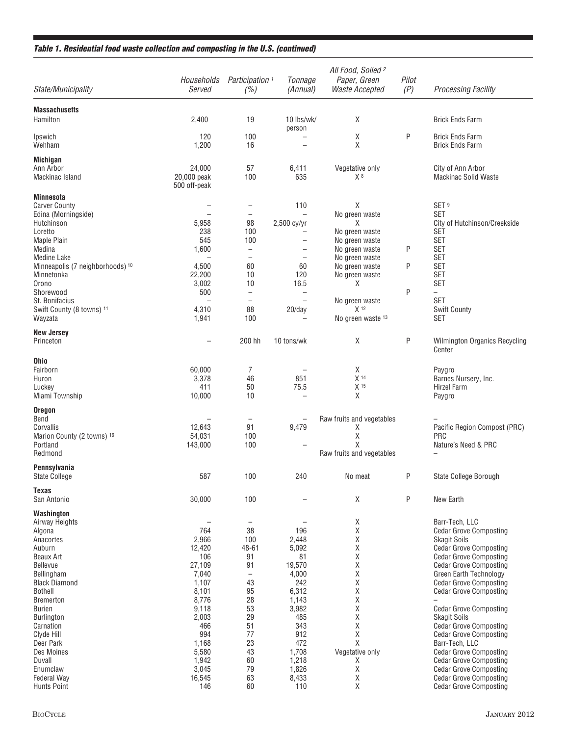#### **Table 1. Residential food waste collection and composting in the U.S. (continued)**

| Pilot<br>Participation <sup>1</sup><br>Tonnage<br>Paper, Green<br>Households<br>(P)<br>Served<br>(%)<br>Waste Accepted<br>State/Municipality<br>(Annual)<br><b>Processing Facility</b>                       |  |
|--------------------------------------------------------------------------------------------------------------------------------------------------------------------------------------------------------------|--|
|                                                                                                                                                                                                              |  |
| <b>Massachusetts</b><br>Hamilton<br>X<br>2,400<br>19<br>10 lbs/wk/<br><b>Brick Ends Farm</b><br>person                                                                                                       |  |
| P<br>χ<br><b>Brick Ends Farm</b><br>Ipswich<br>120<br>100<br>X<br>Wehham<br>1,200<br>16<br><b>Brick Ends Farm</b><br>$\overline{\phantom{0}}$                                                                |  |
| <b>Michigan</b>                                                                                                                                                                                              |  |
| 24,000<br>57<br>Vegetative only<br>Ann Arbor<br>6,411<br>City of Ann Arbor<br>20,000 peak<br>100<br>635<br>X <sup>8</sup><br><b>Mackinac Solid Waste</b><br>Mackinac Island<br>500 off-peak                  |  |
| <b>Minnesota</b>                                                                                                                                                                                             |  |
| Χ<br>SET <sup>9</sup><br><b>Carver County</b><br>110<br>$\overline{\phantom{0}}$<br><b>SET</b><br>Edina (Morningside)<br>No green waste<br>$\overline{\phantom{0}}$<br>$\overline{\phantom{0}}$              |  |
| 5,958<br>2,500 cy/yr<br>City of Hutchinson/Creekside<br>Hutchinson<br>98<br>X                                                                                                                                |  |
| 238<br><b>SET</b><br>Loretto<br>100<br>No green waste                                                                                                                                                        |  |
| 545<br><b>SET</b><br><b>Maple Plain</b><br>100<br>No green waste<br>$\overline{\phantom{0}}$<br>P<br>1,600<br><b>SET</b><br>Medina<br>No green waste<br>$\overline{\phantom{0}}$<br>$\overline{\phantom{0}}$ |  |
| <b>SET</b><br>Medine Lake<br>No green waste<br>$\overline{\phantom{0}}$<br>$\overline{\phantom{m}}$                                                                                                          |  |
| P<br>4,500<br><b>SET</b><br>Minneapolis (7 neighborhoods) 10<br>60<br>60<br>No green waste                                                                                                                   |  |
| 22,200<br>120<br><b>SET</b><br>Minnetonka<br>10<br>No green waste<br>3,002<br>16.5<br>Χ<br><b>SET</b><br>Orono<br>10                                                                                         |  |
| 500<br>P<br>Shorewood<br>$\overline{\phantom{0}}$<br>$\overline{\phantom{0}}$                                                                                                                                |  |
| <b>SET</b><br>St. Bonifacius<br>No green waste<br>$\qquad \qquad -$                                                                                                                                          |  |
| X <sup>12</sup><br>4,310<br><b>Swift County</b><br>Swift County (8 towns) 11<br>88<br>20/day                                                                                                                 |  |
| 1,941<br>Wayzata<br>100<br>No green waste 13<br>SET                                                                                                                                                          |  |
| <b>New Jersey</b><br>P<br>Χ<br>Princeton<br>200 hh<br>10 tons/wk<br><b>Wilmington Organics Recycling</b><br>Center                                                                                           |  |
| <b>Ohio</b>                                                                                                                                                                                                  |  |
| 60,000<br>χ<br>Fairborn<br>7<br>Paygro                                                                                                                                                                       |  |
| 851<br>X <sup>14</sup><br>3,378<br>46<br>Barnes Nursery, Inc.<br>Huron<br>411<br>50<br>75.5<br>X 15<br>Luckey<br>Hirzel Farm                                                                                 |  |
| Χ<br>Miami Township<br>10,000<br>10<br>Paygro                                                                                                                                                                |  |
| <b>Oregon</b>                                                                                                                                                                                                |  |
| Bend<br>Raw fruits and vegetables                                                                                                                                                                            |  |
| 12,643<br>91<br>9,479<br>Corvallis<br>Χ<br>Pacific Region Compost (PRC)                                                                                                                                      |  |
| Χ<br>54,031<br>100<br><b>PRC</b><br>Marion County (2 towns) 16<br>Χ<br>Portland<br>100<br>Nature's Need & PRC<br>143,000                                                                                     |  |
| Redmond<br>Raw fruits and vegetables                                                                                                                                                                         |  |
| Pennsylvania                                                                                                                                                                                                 |  |
| P<br>587<br><b>State College</b><br>100<br>240<br>State College Borough<br>No meat                                                                                                                           |  |
| Texas<br>P<br>San Antonio<br>30,000<br>100<br>Χ<br>New Earth                                                                                                                                                 |  |
| Washington                                                                                                                                                                                                   |  |
| χ<br>Barr-Tech, LLC<br>Airway Heights<br>$\overline{\phantom{0}}$<br>$\overline{\phantom{m}}$<br>38<br>196<br>Χ<br>764<br>Algona<br><b>Cedar Grove Composting</b>                                            |  |
| Χ<br>2,966<br>100<br>Anacortes<br>2,448<br><b>Skagit Soils</b>                                                                                                                                               |  |
| Χ<br>Auburn<br>12,420<br>48-61<br>5,092<br><b>Cedar Grove Composting</b>                                                                                                                                     |  |
| Χ<br>91<br><b>Cedar Grove Composting</b><br>Beaux Art<br>106<br>81                                                                                                                                           |  |
| Χ<br><b>Bellevue</b><br>27,109<br>91<br>19,570<br><b>Cedar Grove Composting</b><br>7,040<br>4,000<br>Χ<br>Green Earth Technology<br>Bellingham<br>$\qquad \qquad -$                                          |  |
| Χ<br><b>Black Diamond</b><br>1,107<br>43<br>242<br><b>Cedar Grove Composting</b>                                                                                                                             |  |
| 6,312<br>Χ<br><b>Bothell</b><br>8,101<br>95<br><b>Cedar Grove Composting</b>                                                                                                                                 |  |
| 8,776<br>28<br>Χ<br>1,143<br><b>Bremerton</b><br>Χ<br><b>Burien</b><br>9,118<br>53                                                                                                                           |  |
| 3,982<br><b>Cedar Grove Composting</b><br>χ<br>2,003<br>29<br>485<br>Burlington<br><b>Skagit Soils</b>                                                                                                       |  |
| <b>Cedar Grove Composting</b><br>466<br>51<br>343<br>Χ<br>Carnation                                                                                                                                          |  |
| 994<br>77<br>912<br>Χ<br>Clyde Hill<br><b>Cedar Grove Composting</b><br>472<br>Χ<br>Deer Park<br>1,168<br>23<br>Barr-Tech, LLC                                                                               |  |
| 5,580<br>43<br>1,708<br>Vegetative only<br><b>Cedar Grove Composting</b><br>Des Moines                                                                                                                       |  |
| 1,942<br>60<br>1,218<br><b>Cedar Grove Composting</b><br>Duvall<br>Χ                                                                                                                                         |  |
| Χ<br>3,045<br>79<br>1,826<br>Enumclaw<br><b>Cedar Grove Composting</b>                                                                                                                                       |  |
| Χ<br>16,545<br>63<br>8,433<br><b>Cedar Grove Composting</b><br><b>Federal Way</b><br>Χ<br><b>Hunts Point</b><br>60<br>110<br><b>Cedar Grove Composting</b><br>146                                            |  |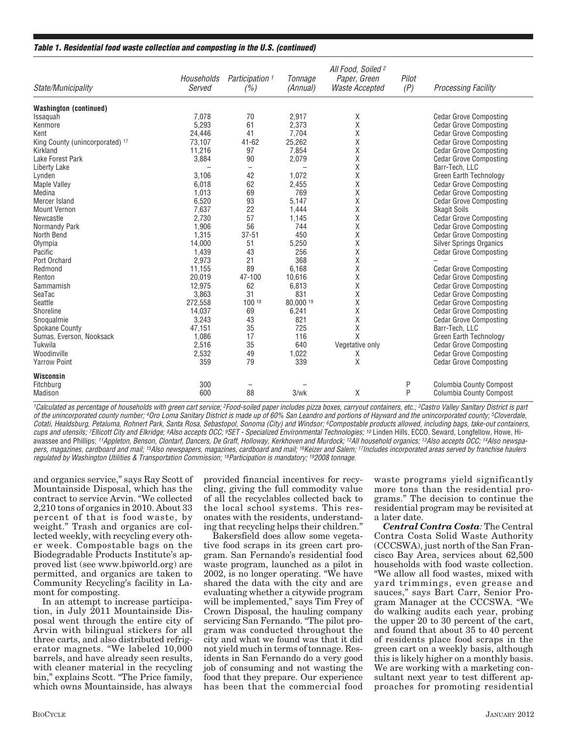#### **Table 1. Residential food waste collection and composting in the U.S. (continued)**

| State/Municipality              | Households<br>Served     | Participation <sup>1</sup><br>(%) | Tonnage<br>(Annual) | All Food, Soiled <sup>2</sup><br>Paper, Green<br>Waste Accepted | Pilot<br>(P) | <b>Processing Facility</b>     |
|---------------------------------|--------------------------|-----------------------------------|---------------------|-----------------------------------------------------------------|--------------|--------------------------------|
| <b>Washington (continued)</b>   |                          |                                   |                     |                                                                 |              |                                |
| Issaquah                        | 7.078                    | 70                                | 2.917               | Χ                                                               |              | <b>Cedar Grove Composting</b>  |
| Kenmore                         | 5,293                    | 61                                | 2,373               | Χ                                                               |              | <b>Cedar Grove Composting</b>  |
| Kent                            | 24,446                   | 41                                | 7,704               | Χ                                                               |              | <b>Cedar Grove Composting</b>  |
| King County (unincorporated) 17 | 73,107                   | $41 - 62$                         | 25,262              | Χ                                                               |              | <b>Cedar Grove Composting</b>  |
| Kirkland                        | 11,216                   | 97                                | 7,854               | X                                                               |              | <b>Cedar Grove Composting</b>  |
| Lake Forest Park                | 3,884                    | 90                                | 2,079               | X                                                               |              | <b>Cedar Grove Composting</b>  |
| Liberty Lake                    | $\overline{\phantom{0}}$ |                                   |                     | X                                                               |              | Barr-Tech, LLC                 |
| Lynden                          | 3,106                    | 42                                | 1,072               | Χ                                                               |              | <b>Green Earth Technology</b>  |
| <b>Maple Valley</b>             | 6,018                    | 62                                | 2,455               | X                                                               |              | <b>Cedar Grove Composting</b>  |
| Medina                          | 1,013                    | 69                                | 769                 | Χ                                                               |              | <b>Cedar Grove Composting</b>  |
| Mercer Island                   | 6,520                    | 93                                | 5,147               | X                                                               |              | <b>Cedar Grove Composting</b>  |
| <b>Mount Vernon</b>             | 7,637                    | 22                                | 1,444               | X                                                               |              | <b>Skagit Soils</b>            |
| Newcastle                       | 2,730                    | 57                                | 1,145               | Χ                                                               |              | <b>Cedar Grove Composting</b>  |
| Normandy Park                   | 1,906                    | 56                                | 744                 | X                                                               |              | <b>Cedar Grove Composting</b>  |
| North Bend                      | 1,315                    | $37 - 51$                         | 450                 | Χ                                                               |              | <b>Cedar Grove Composting</b>  |
| Olympia                         | 14,000                   | 51                                | 5,250               | X                                                               |              | <b>Silver Springs Organics</b> |
| Pacific                         | 1,439                    | 43                                | 256                 | X                                                               |              | <b>Cedar Grove Composting</b>  |
| Port Orchard                    | 2,973                    | 21                                | 368                 | Χ                                                               |              |                                |
| Redmond                         | 11,155                   | 89                                | 6,168               | X                                                               |              | <b>Cedar Grove Composting</b>  |
| Renton                          | 20,019                   | 47-100                            | 10,616              | X                                                               |              | <b>Cedar Grove Composting</b>  |
| Sammamish                       | 12,975                   | 62                                | 6,813               | Χ                                                               |              | <b>Cedar Grove Composting</b>  |
| SeaTac                          | 3,863                    | 31                                | 831                 | X                                                               |              | <b>Cedar Grove Composting</b>  |
| Seattle                         | 272,558                  | 100 18                            | 80,000 19           | X                                                               |              | <b>Cedar Grove Composting</b>  |
| Shoreline                       | 14,037                   | 69                                | 6,241               | Χ                                                               |              | <b>Cedar Grove Composting</b>  |
| Snoqualmie                      | 3,243                    | 43                                | 821                 | X                                                               |              | <b>Cedar Grove Composting</b>  |
| Spokane County                  | 47,151                   | 35                                | 725                 | Χ                                                               |              | Barr-Tech, LLC                 |
| Sumas, Everson, Nooksack        | 1,086                    | 17                                | 116                 | X                                                               |              | Green Earth Technology         |
| Tukwila                         | 2,516                    | 35                                | 640                 | Vegetative only                                                 |              | <b>Cedar Grove Composting</b>  |
| Woodinville                     | 2,532                    | 49                                | 1,022               | Χ                                                               |              | <b>Cedar Grove Composting</b>  |
| <b>Yarrow Point</b>             | 359                      | 79                                | 339                 | X                                                               |              | <b>Cedar Grove Composting</b>  |
| Wisconsin                       |                          |                                   |                     |                                                                 |              |                                |
| Fitchburg                       | 300                      |                                   |                     |                                                                 | P            | <b>Columbia County Compost</b> |
| Madison                         | 600                      | 88                                | 3/wk                | X                                                               | P            | <b>Columbia County Compost</b> |

<sup>1</sup>Calculated as percentage of households with green cart service; <sup>2</sup>Food-soiled paper includes pizza boxes, carryout containers, etc.; <sup>3</sup>Castro Valley Sanitary District is part of the unincorporated county number; 4Oro Loma Sanitary District is made up of 60% San Leandro and portions of Hayward and the unincorporated county; 5Cloverdale, Cotati, Healdsburg, Petaluma, Rohnert Park, Santa Rosa, Sebastopol, Sonoma (City) and Windsor; <sup>6</sup>Compostable products allowed, including bags, take-out containers, cups and utensils; <sup>7</sup>Ellicott City and Elkridge; <sup>8</sup>Also accepts OCC; <sup>9</sup>SET - Specialized Environmental Technologies; <sup>10</sup> Linden Hills, ECCO, Seward, Longfellow, Howe, Hiawassee and Phillips; <sup>11</sup>Appleton, Benson, Clontarf, Dancers, De Graff, Holloway, Kerkhoven and Murdock; <sup>12</sup>All household organics; <sup>13</sup>Also accepts OCC; <sup>14</sup>Also newspapers, magazines, cardboard and mail; <sup>15</sup>Also newspapers, magazines, cardboard and mail; <sup>16</sup>Keizer and Salem; <sup>17</sup>Includes incorporated areas served by franchise haulers regulated by Washington Utilities & Transportation Commission; 18Participation is mandatory; 192008 tonnage.

and organics service," says Ray Scott of Mountainside Disposal, which has the contract to service Arvin. "We collected 2,210 tons of organics in 2010. About 33 percent of that is food waste, by weight." Trash and organics are collected weekly, with recycling every other week. Compostable bags on the Biodegradable Products Institute's approved list (see www.bpiworld.org) are permitted, and organics are taken to Community Recycling's facility in Lamont for composting.

In an attempt to increase participation, in July 2011 Mountainside Disposal went through the entire city of Arvin with bilingual stickers for all three carts, and also distributed refrigerator magnets. "We labeled 10,000 barrels, and have already seen results, with cleaner material in the recycling bin," explains Scott. "The Price family, which owns Mountainside, has always

provided financial incentives for recycling, giving the full commodity value of all the recyclables collected back to the local school systems. This resonates with the residents, understanding that recycling helps their children."

Bakersfield does allow some vegetative food scraps in its green cart program. San Fernando's residential food waste program, launched as a pilot in 2002, is no longer operating. "We have shared the data with the city and are evaluating whether a citywide program will be implemented," says Tim Frey of Crown Disposal, the hauling company servicing San Fernando. "The pilot program was conducted throughout the city and what we found was that it did not yield much in terms of tonnage. Residents in San Fernando do a very good job of consuming and not wasting the food that they prepare. Our experience has been that the commercial food

waste programs yield significantly more tons than the residential programs." The decision to continue the residential program may be revisited at a later date.

*Central Contra Costa:* The Central Contra Costa Solid Waste Authority (CCCSWA), just north of the San Francisco Bay Area, services about 62,500 households with food waste collection. "We allow all food wastes, mixed with yard trimmings, even grease and sauces," says Bart Carr, Senior Program Manager at the CCCSWA. "We do walking audits each year, probing the upper 20 to 30 percent of the cart, and found that about 35 to 40 percent of residents place food scraps in the green cart on a weekly basis, although this is likely higher on a monthly basis. We are working with a marketing consultant next year to test different approaches for promoting residential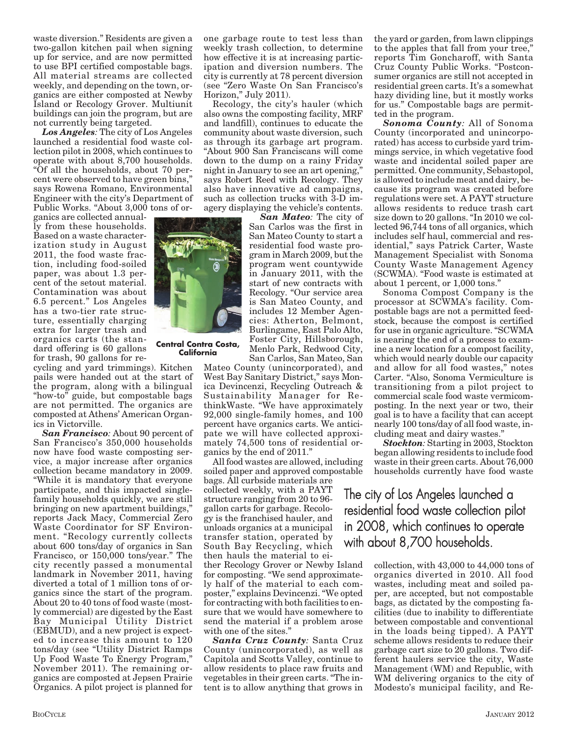waste diversion." Residents are given a two-gallon kitchen pail when signing up for service, and are now permitted to use BPI certified compostable bags. All material streams are collected weekly, and depending on the town, organics are either composted at Newby Island or Recology Grover. Multiunit buildings can join the program, but are not currently being targeted.

*Los Angeles:* The city of Los Angeles launched a residential food waste collection pilot in 2008, which continues to operate with about 8,700 households. "Of all the households, about 70 percent were observed to have green bins," says Rowena Romano, Environmental Engineer with the city's Department of Public Works. "About 3,000 tons of or-

ganics are collected annually from these households. Based on a waste characterization study in August 2011, the food waste fraction, including food-soiled paper, was about 1.3 percent of the setout material. Contamination was about 6.5 percent." Los Angeles has a two-tier rate structure, essentially charging extra for larger trash and organics carts (the standard offering is 60 gallons for trash, 90 gallons for re-

cycling and yard trimmings). Kitchen pails were handed out at the start of the program, along with a bilingual "how-to" guide, but compostable bags are not permitted. The organics are composted at Athens' American Organics in Victorville.

*San Francisco:* About 90 percent of San Francisco's 350,000 households now have food waste composting service, a major increase after organics collection became mandatory in 2009. "While it is mandatory that everyone participate, and this impacted singlefamily households quickly, we are still bringing on new apartment buildings," reports Jack Macy, Commercial Zero Waste Coordinator for SF Environment. "Recology currently collects about 600 tons/day of organics in San Francisco, or 150,000 tons/year." The city recently passed a monumental landmark in November 2011, having diverted a total of 1 million tons of organics since the start of the program. About 20 to 40 tons of food waste (mostly commercial) are digested by the East Bay Municipal Utility District (EBMUD), and a new project is expected to increase this amount to 120 tons/day (see "Utility District Ramps Up Food Waste To Energy Program," November 2011). The remaining organics are composted at Jepsen Prairie Organics. A pilot project is planned for

one garbage route to test less than weekly trash collection, to determine how effective it is at increasing participation and diversion numbers. The city is currently at 78 percent diversion (see "Zero Waste On San Francisco's Horizon," July 2011).

Recology, the city's hauler (which also owns the composting facility, MRF and landfill), continues to educate the community about waste diversion, such as through its garbage art program. "About 900 San Franciscans will come down to the dump on a rainy Friday night in January to see an art opening, says Robert Reed with Recology. They also have innovative ad campaigns, such as collection trucks with 3-D imagery displaying the vehicle's contents.

*San Mateo:* The city of San Carlos was the first in San Mateo County to start a residential food waste program in March 2009, but the program went countywide in January 2011, with the start of new contracts with Recology. "Our service area is San Mateo County, and includes 12 Member Agencies: Atherton, Belmont, Burlingame, East Palo Alto, Foster City, Hillsborough, Menlo Park, Redwood City, San Carlos, San Mateo, San

Mateo County (unincorporated), and West Bay Sanitary District," says Monica Devincenzi, Recycling Outreach & Sustainability Manager for RethinkWaste. "We have approximately 92,000 single-family homes, and 100 percent have organics carts. We anticipate we will have collected approximately 74,500 tons of residential organics by the end of 2011."

All food wastes are allowed, including soiled paper and approved compostable

bags. All curbside materials are collected weekly, with a PAYT structure ranging from 20 to 96 gallon carts for garbage. Recology is the franchised hauler, and unloads organics at a municipal transfer station, operated by South Bay Recycling, which then hauls the material to ei-

ther Recology Grover or Newby Island for composting. "We send approximately half of the material to each composter," explains Devincenzi. "We opted for contracting with both facilities to ensure that we would have somewhere to send the material if a problem arose with one of the sites."

*Santa Cruz County:* Santa Cruz County (unincorporated), as well as Capitola and Scotts Valley, continue to allow residents to place raw fruits and vegetables in their green carts. "The intent is to allow anything that grows in

the yard or garden, from lawn clippings to the apples that fall from your tree, reports Tim Goncharoff, with Santa Cruz County Public Works. "Postconsumer organics are still not accepted in residential green carts. It's a somewhat hazy dividing line, but it mostly works for us." Compostable bags are permitted in the program.

*Sonoma County:* All of Sonoma County (incorporated and unincorporated) has access to curbside yard trimmings service, in which vegetative food waste and incidental soiled paper are permitted. One community, Sebastopol, is allowed to include meat and dairy, because its program was created before regulations were set. A PAYT structure allows residents to reduce trash cart size down to 20 gallons. "In 2010 we collected 96,744 tons of all organics, which includes self haul, commercial and residential," says Patrick Carter, Waste Management Specialist with Sonoma County Waste Management Agency (SCWMA). "Food waste is estimated at about 1 percent, or 1,000 tons."

Sonoma Compost Company is the processor at SCWMA's facility. Compostable bags are not a permitted feedstock, because the compost is certified for use in organic agriculture. "SCWMA is nearing the end of a process to examine a new location for a compost facility, which would nearly double our capacity and allow for all food wastes," notes Carter. "Also, Sonoma Vermiculture is transitioning from a pilot project to commercial scale food waste vermicomposting. In the next year or two, their goal is to have a facility that can accept nearly 100 tons/day of all food waste, including meat and dairy wastes."

*Stockton:* Starting in 2003, Stockton began allowing residents to include food waste in their green carts. About 76,000 households currently have food waste

## The city of Los Angeles launched a residential food waste collection pilot in 2008, which continues to operate with about 8,700 households.

collection, with 43,000 to 44,000 tons of organics diverted in 2010. All food wastes, including meat and soiled paper, are accepted, but not compostable bags, as dictated by the composting facilities (due to inability to differentiate between compostable and conventional in the loads being tipped). A PAYT scheme allows residents to reduce their garbage cart size to 20 gallons. Two different haulers service the city, Waste Management (WM) and Republic, with WM delivering organics to the city of Modesto's municipal facility, and Re-





**Central Contra Costa, California**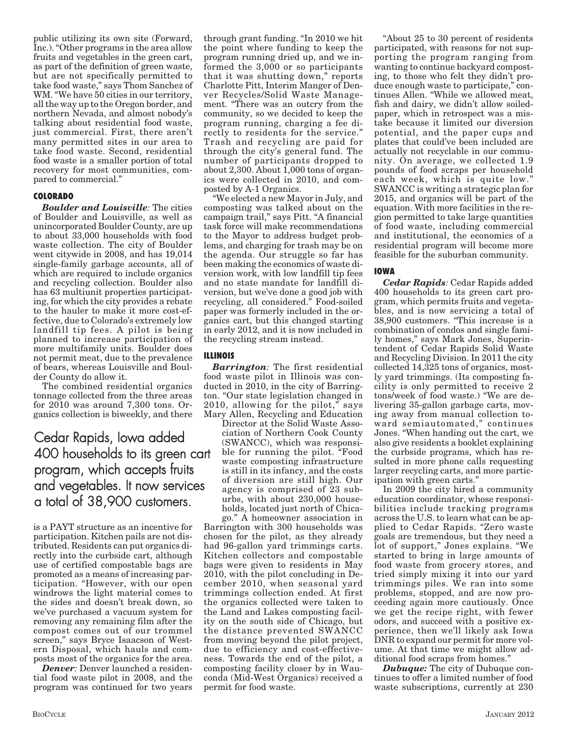public utilizing its own site (Forward, Inc.). "Other programs in the area allow fruits and vegetables in the green cart, as part of the definition of green waste, but are not specifically permitted to take food waste," says Thom Sanchez of WM. "We have 50 cities in our territory, all the way up to the Oregon border, and northern Nevada, and almost nobody's talking about residential food waste, just commercial. First, there aren't many permitted sites in our area to take food waste. Second, residential food waste is a smaller portion of total recovery for most communities, compared to commercial."

#### **COLORADO**

*Boulder and Louisville:* The cities of Boulder and Louisville, as well as unincorporated Boulder County, are up to about 33,000 households with food waste collection. The city of Boulder went citywide in 2008, and has 19,014 single-family garbage accounts, all of which are required to include organics and recycling collection. Boulder also has 63 multiunit properties participating, for which the city provides a rebate to the hauler to make it more cost-effective, due to Colorado's extremely low landfill tip fees. A pilot is being planned to increase participation of more multifamily units. Boulder does not permit meat, due to the prevalence of bears, whereas Louisville and Boulder County do allow it.

The combined residential organics tonnage collected from the three areas for 2010 was around 7,300 tons. Organics collection is biweekly, and there

Cedar Rapids, Iowa added 400 households to its green cart program, which accepts fruits and vegetables. It now services a total of 38,900 customers.

is a PAYT structure as an incentive for participation. Kitchen pails are not distributed. Residents can put organics directly into the curbside cart, although use of certified compostable bags are promoted as a means of increasing participation. "However, with our open windrows the light material comes to the sides and doesn't break down, so we've purchased a vacuum system for removing any remaining film after the compost comes out of our trommel screen," says Bryce Isaacson of Western Disposal, which hauls and composts most of the organics for the area.

*Denver*: Denver launched a residential food waste pilot in 2008, and the program was continued for two years through grant funding. "In 2010 we hit the point where funding to keep the program running dried up, and we informed the 3,000 or so participants that it was shutting down," reports Charlotte Pitt, Interim Manger of Denver Recycles/Solid Waste Management. "There was an outcry from the community, so we decided to keep the program running, charging a fee directly to residents for the service." Trash and recycling are paid for through the city's general fund. The number of participants dropped to about 2,300. About 1,000 tons of organics were collected in 2010, and composted by A-1 Organics.

"We elected a new Mayor in July, and composting was talked about on the campaign trail," says Pitt. "A financial task force will make recommendations to the Mayor to address budget problems, and charging for trash may be on the agenda. Our struggle so far has been making the economics of waste diversion work, with low landfill tip fees and no state mandate for landfill diversion, but we've done a good job with recycling, all considered." Food-soiled paper was formerly included in the organics cart, but this changed starting in early 2012, and it is now included in the recycling stream instead.

#### **ILLINOIS**

*Barrington:* The first residential food waste pilot in Illinois was conducted in 2010, in the city of Barrington. "Our state legislation changed in 2010, allowing for the pilot," says Mary Allen, Recycling and Education

Director at the Solid Waste Association of Northern Cook County (SWANCC), which was responsible for running the pilot. "Food waste composting infrastructure is still in its infancy, and the costs of diversion are still high. Our agency is comprised of 23 suburbs, with about 230,000 households, located just north of Chicago." A homeowner association in

Barrington with 300 households was chosen for the pilot, as they already had 96-gallon yard trimmings carts. Kitchen collectors and compostable bags were given to residents in May 2010, with the pilot concluding in December 2010, when seasonal yard trimmings collection ended. At first the organics collected were taken to the Land and Lakes composting facility on the south side of Chicago, but the distance prevented SWANCC from moving beyond the pilot project, due to efficiency and cost-effectiveness. Towards the end of the pilot, a composting facility closer by in Wauconda (Mid-West Organics) received a permit for food waste.

"About 25 to 30 percent of residents participated, with reasons for not supporting the program ranging from wanting to continue backyard composting, to those who felt they didn't produce enough waste to participate," continues Allen. "While we allowed meat, fish and dairy, we didn't allow soiledpaper, which in retrospect was a mistake because it limited our diversion potential, and the paper cups and plates that could've been included are actually not recyclable in our community. On average, we collected 1.9 pounds of food scraps per household each week, which is quite low." SWANCC is writing a strategic plan for 2015, and organics will be part of the equation. With more facilities in the region permitted to take large quantities of food waste, including commercial and institutional, the economics of a residential program will become more feasible for the suburban community.

#### **IOWA**

*Cedar Rapids:* Cedar Rapids added 400 households to its green cart program, which permits fruits and vegetables, and is now servicing a total of 38,900 customers. "This increase is a combination of condos and single family homes," says Mark Jones, Superintendent of Cedar Rapids Solid Waste and Recycling Division. In 2011 the city collected 14,325 tons of organics, mostly yard trimmings. (Its composting facility is only permitted to receive 2 tons/week of food waste.) "We are delivering 35-gallon garbage carts, moving away from manual collection toward semiautomated," continues Jones. "When handing out the cart, we also give residents a booklet explaining the curbside programs, which has resulted in more phone calls requesting larger recycling carts, and more participation with green carts."

In 2009 the city hired a community education coordinator, whose responsibilities include tracking programs across the U.S. to learn what can be applied to Cedar Rapids. "Zero waste goals are tremendous, but they need a lot of support," Jones explains. "We started to bring in large amounts of food waste from grocery stores, and tried simply mixing it into our yard trimmings piles. We ran into some problems, stopped, and are now proceeding again more cautiously. Once we get the recipe right, with fewer odors, and succeed with a positive experience, then we'll likely ask Iowa DNR to expand our permit for more volume. At that time we might allow additional food scraps from homes."

*Dubuque:* The city of Dubuque continues to offer a limited number of food waste subscriptions, currently at 230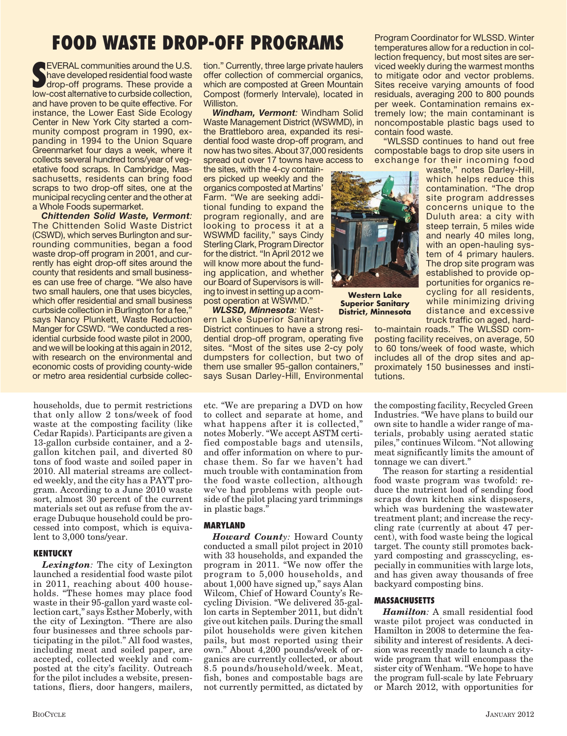# **FOOD WASTE DROP-OFF PROGRAMS**

**SEVERAL communities around the U.S.**<br> **SPALE communities around the U.S.**<br> **SPALE constant alternative to curbside collection,**<br> **SPALE constant alternative to curbside collection, EVERAL communities around the U.S.** have developed residential food waste drop-off programs. These provide a and have proven to be quite effective. For instance, the Lower East Side Ecology Center in New York City started a community compost program in 1990, expanding in 1994 to the Union Square Greenmarket four days a week, where it collects several hundred tons/year of vegetative food scraps. In Cambridge, Massachusetts, residents can bring food scraps to two drop-off sites, one at the municipal recycling center and the other at a Whole Foods supermarket.

*Chittenden Solid Waste, Vermont:* The Chittenden Solid Waste District (CSWD), which serves Burlington and surrounding communities, began a food waste drop-off program in 2001, and currently has eight drop-off sites around the county that residents and small businesses can use free of charge. "We also have two small haulers, one that uses bicycles, which offer residential and small business curbside collection in Burlington for a fee," says Nancy Plunkett, Waste Reduction Manger for CSWD. "We conducted a residential curbside food waste pilot in 2000, and we will be looking at this again in 2012, with research on the environmental and economic costs of providing county-wide or metro area residential curbside collec-

households, due to permit restrictions that only allow 2 tons/week of food waste at the composting facility (like Cedar Rapids). Participants are given a 13-gallon curbside container, and a 2 gallon kitchen pail, and diverted 80 tons of food waste and soiled paper in 2010. All material streams are collected weekly, and the city has a PAYT program. According to a June 2010 waste sort, almost 30 percent of the current materials set out as refuse from the average Dubuque household could be processed into compost, which is equivalent to 3,000 tons/year.

#### **KENTUCKY**

*Lexington:* The city of Lexington launched a residential food waste pilot in 2011, reaching about 400 households. "These homes may place food waste in their 95-gallon yard waste collection cart," says Esther Moberly, with the city of Lexington. "There are also four businesses and three schools participating in the pilot." All food wastes, including meat and soiled paper, are accepted, collected weekly and composted at the city's facility. Outreach for the pilot includes a website, presentations, fliers, door hangers, mailers,

tion." Currently, three large private haulers offer collection of commercial organics, which are composted at Green Mountain Compost (formerly Intervale), located in Williston.

*Windham, Vermont:* Windham Solid Waste Management District (WSWMD), in the Brattleboro area, expanded its residential food waste drop-off program, and now has two sites. About 37,000 residents spread out over 17 towns have access to

the sites, with the 4-cy containers picked up weekly and the organics composted at Martins' Farm. "We are seeking additional funding to expand the program regionally, and are looking to process it at a WSWMD facility," says Cindy Sterling Clark, Program Director for the district. "In April 2012 we will know more about the funding application, and whether our Board of Supervisors is willing to invest in setting up a compost operation at WSWMD."

*WLSSD, Minnesota:* Western Lake Superior Sanitary

District continues to have a strong residential drop-off program, operating five sites. "Most of the sites use 2-cy poly dumpsters for collection, but two of them use smaller 95-gallon containers," says Susan Darley-Hill, Environmental

etc. "We are preparing a DVD on how to collect and separate at home, and what happens after it is collected," notes Moberly. "We accept ASTM certified compostable bags and utensils, and offer information on where to purchase them. So far we haven't had much trouble with contamination from the food waste collection, although we've had problems with people outside of the pilot placing yard trimmings in plastic bags."

#### **MARYLAND**

*Howard County:* Howard County conducted a small pilot project in 2010 with 33 households, and expanded the program in 2011. "We now offer the program to 5,000 households, and about 1,000 have signed up," says Alan Wilcom, Chief of Howard County's Recycling Division. "We delivered 35-gallon carts in September 2011, but didn't give out kitchen pails. During the small pilot households were given kitchen pails, but most reported using their own." About 4,200 pounds/week of organics are currently collected, or about 8.5 pounds/household/week. Meat, fish, bones and compostable bags are not currently permitted, as dictated by

Program Coordinator for WLSSD. Winter temperatures allow for a reduction in collection frequency, but most sites are serviced weekly during the warmest months to mitigate odor and vector problems. Sites receive varying amounts of food residuals, averaging 200 to 800 pounds per week. Contamination remains extremely low; the main contaminant is noncompostable plastic bags used to contain food waste.

"WLSSD continues to hand out free compostable bags to drop site users in exchange for their incoming food

waste," notes Darley-Hill, which helps reduce this contamination. "The drop site program addresses concerns unique to the Duluth area: a city with steep terrain, 5 miles wide and nearly 40 miles long, with an open-hauling system of 4 primary haulers. The drop site program was established to provide opportunities for organics recycling for all residents, while minimizing driving distance and excessive truck traffic on aged, hard-

to-maintain roads." The WLSSD composting facility receives, on average, 50 to 60 tons/week of food waste, which includes all of the drop sites and approximately 150 businesses and institutions.

the composting facility, Recycled Green Industries. "We have plans to build our own site to handle a wider range of materials, probably using aerated static piles," continues Wilcom. "Not allowing meat significantly limits the amount of tonnage we can divert."

The reason for starting a residential food waste program was twofold: reduce the nutrient load of sending food scraps down kitchen sink disposers, which was burdening the wastewater treatment plant; and increase the recycling rate (currently at about 47 percent), with food waste being the logical target. The county still promotes backyard composting and grasscycling, especially in communities with large lots, and has given away thousands of free backyard composting bins.

#### **MASSACHUSETTS**

**Western Lake Superior Sanitary District, Minnesota**

> *Hamilton:* A small residential food waste pilot project was conducted in Hamilton in 2008 to determine the feasibility and interest of residents. A decision was recently made to launch a citywide program that will encompass the sister city of Wenham. "We hope to have the program full-scale by late February or March 2012, with opportunities for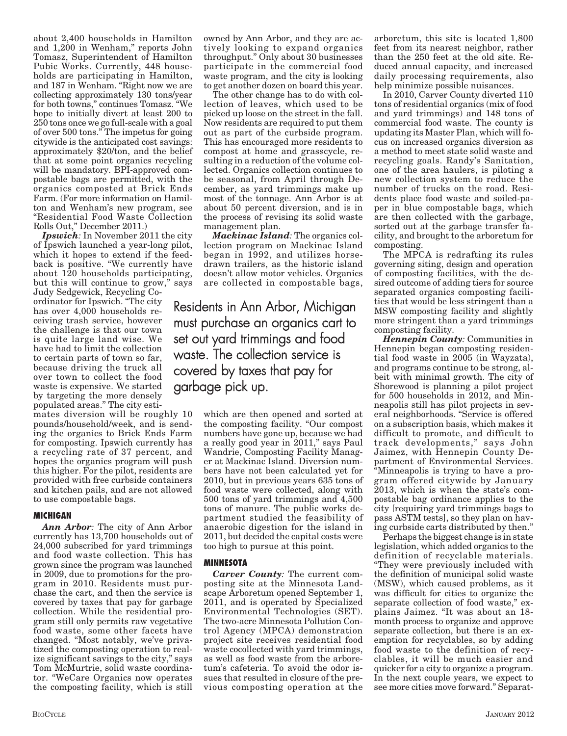about 2,400 households in Hamilton and 1,200 in Wenham," reports John Tomasz, Superintendent of Hamilton Pubic Works. Currently, 448 households are participating in Hamilton, and 187 in Wenham. "Right now we are collecting approximately 130 tons/year for both towns," continues Tomasz. "We hope to initially divert at least 200 to 250 tons once we go full-scale with a goal of over 500 tons." The impetus for going citywide is the anticipated cost savings: approximately \$20/ton, and the belief that at some point organics recycling will be mandatory. BPI-approved compostable bags are permitted, with the organics composted at Brick Ends Farm. (For more information on Hamilton and Wenham's new program, see "Residential Food Waste Collection Rolls Out," December 2011.)

*Ipswich:* In November 2011 the city of Ipswich launched a year-long pilot, which it hopes to extend if the feedback is positive. "We currently have about 120 households participating, but this will continue to grow," says

Judy Sedgewick, Recycling Coordinator for Ipswich. "The city has over 4,000 households receiving trash service, however the challenge is that our town is quite large land wise. We have had to limit the collection to certain parts of town so far, because driving the truck all over town to collect the food waste is expensive. We started by targeting the more densely populated areas." The city esti-

mates diversion will be roughly 10 pounds/household/week, and is sending the organics to Brick Ends Farm for composting. Ipswich currently has a recycling rate of 37 percent, and hopes the organics program will push this higher. For the pilot, residents are provided with free curbside containers and kitchen pails, and are not allowed to use compostable bags.

#### **MICHIGAN**

*Ann Arbor:* The city of Ann Arbor currently has 13,700 households out of 24,000 subscribed for yard trimmings and food waste collection. This has grown since the program was launched in 2009, due to promotions for the program in 2010. Residents must purchase the cart, and then the service is covered by taxes that pay for garbage collection. While the residential program still only permits raw vegetative food waste, some other facets have changed. "Most notably, we've privatized the composting operation to realize significant savings to the city," says Tom McMurtrie, solid waste coordinator. "WeCare Organics now operates the composting facility, which is still

The other change has to do with collection of leaves, which used to be picked up loose on the street in the fall. Now residents are required to put them out as part of the curbside program. This has encouraged more residents to compost at home and grasscycle, resulting in a reduction of the volume collected. Organics collection continues to be seasonal, from April through December, as yard trimmings make up most of the tonnage. Ann Arbor is at about 50 percent diversion, and is in the process of revising its solid waste management plan.

*Mackinac Island:* The organics collection program on Mackinac Island began in 1992, and utilizes horsedrawn trailers, as the historic island doesn't allow motor vehicles. Organics are collected in compostable bags,

Residents in Ann Arbor, Michigan must purchase an organics cart to set out yard trimmings and food waste. The collection service is covered by taxes that pay for garbage pick up.

> which are then opened and sorted at the composting facility. "Our compost numbers have gone up, because we had a really good year in 2011," says Paul Wandrie, Composting Facility Manager at Mackinac Island. Diversion numbers have not been calculated yet for 2010, but in previous years 635 tons of food waste were collected, along with 500 tons of yard trimmings and 4,500 tons of manure. The public works department studied the feasibility of anaerobic digestion for the island in 2011, but decided the capital costs were too high to pursue at this point.

#### **MINNESOTA**

*Carver County:* The current composting site at the Minnesota Landscape Arboretum opened September 1, 2011, and is operated by Specialized Environmental Technologies (SET). The two-acre Minnesota Pollution Control Agency (MPCA) demonstration project site receives residential food waste cocollected with yard trimmings, as well as food waste from the arboretum's cafeteria. To avoid the odor issues that resulted in closure of the previous composting operation at the

arboretum, this site is located 1,800 feet from its nearest neighbor, rather than the 250 feet at the old site. Reduced annual capacity, and increased daily processing requirements, also help minimize possible nuisances.

In 2010, Carver County diverted 110 tons of residential organics (mix of food and yard trimmings) and 148 tons of commercial food waste. The county is updating its Master Plan, which will focus on increased organics diversion as a method to meet state solid waste and recycling goals. Randy's Sanitation, one of the area haulers, is piloting a new collection system to reduce the number of trucks on the road. Residents place food waste and soiled-paper in blue compostable bags, which are then collected with the garbage, sorted out at the garbage transfer facility, and brought to the arboretum for composting.

The MPCA is redrafting its rules governing siting, design and operation of composting facilities, with the desired outcome of adding tiers for source separated organics composting facilities that would be less stringent than a MSW composting facility and slightly more stringent than a yard trimmings composting facility.

*Hennepin County:* Communities in Hennepin began composting residential food waste in 2005 (in Wayzata), and programs continue to be strong, albeit with minimal growth. The city of Shorewood is planning a pilot project for 500 households in 2012, and Minneapolis still has pilot projects in several neighborhoods. "Service is offered on a subscription basis, which makes it difficult to promote, and difficult to track developments," says John Jaimez, with Hennepin County Department of Environmental Services. "Minneapolis is trying to have a program offered citywide by January 2013, which is when the state's compostable bag ordinance applies to the city [requiring yard trimmings bags to pass ASTM tests], so they plan on having curbside carts distributed by then."

Perhaps the biggest change is in state legislation, which added organics to the definition of recyclable materials. "They were previously included with the definition of municipal solid waste (MSW), which caused problems, as it was difficult for cities to organize the separate collection of food waste," explains Jaimez. "It was about an 18 month process to organize and approve separate collection, but there is an exemption for recyclables, so by adding food waste to the definition of recyclables, it will be much easier and quicker for a city to organize a program. In the next couple years, we expect to see more cities move forward." Separat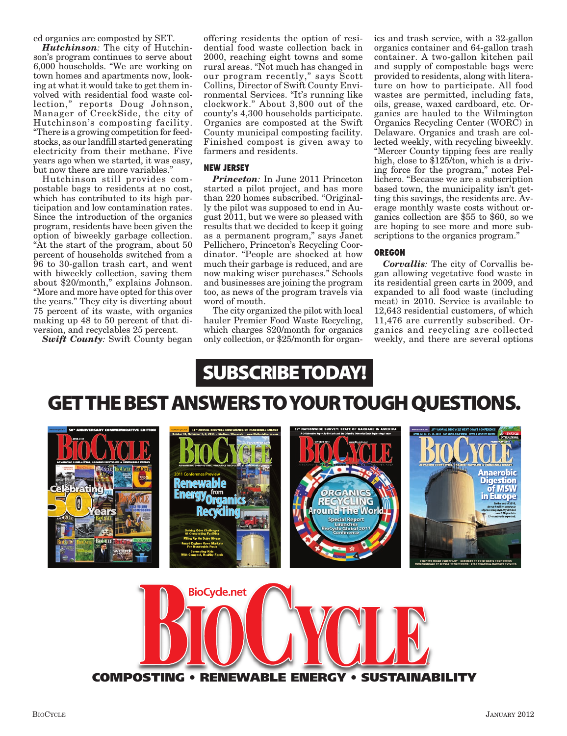ed organics are composted by SET.

*Hutchinson:* The city of Hutchinson's program continues to serve about 6,000 households. "We are working on town homes and apartments now, looking at what it would take to get them involved with residential food waste collection," reports Doug Johnson, Manager of CreekSide, the city of Hutchinson's composting facility. "There is a growing competition for feedstocks, as our landfill started generating electricity from their methane. Five years ago when we started, it was easy, but now there are more variables."

Hutchinson still provides compostable bags to residents at no cost, which has contributed to its high participation and low contamination rates. Since the introduction of the organics program, residents have been given the option of biweekly garbage collection. "At the start of the program, about 50 percent of households switched from a 96 to 30-gallon trash cart, and went with biweekly collection, saving them about \$20/month," explains Johnson. "More and more have opted for this over the years." They city is diverting about 75 percent of its waste, with organics making up 48 to 50 percent of that diversion, and recyclables 25 percent.

*Swift County:* Swift County began

offering residents the option of residential food waste collection back in 2000, reaching eight towns and some rural areas. "Not much has changed in our program recently," says Scott Collins, Director of Swift County Environmental Services. "It's running like clockwork." About 3,800 out of the county's 4,300 households participate. Organics are composted at the Swift County municipal composting facility. Finished compost is given away to farmers and residents.

#### **NEW JERSEY**

*Princeton:* In June 2011 Princeton started a pilot project, and has more than 220 homes subscribed. "Originally the pilot was supposed to end in August 2011, but we were so pleased with results that we decided to keep it going as a permanent program," says Janet Pellichero, Princeton's Recycling Coordinator. "People are shocked at how much their garbage is reduced, and are now making wiser purchases." Schools and businesses are joining the program too, as news of the program travels via word of mouth.

The city organized the pilot with local hauler Premier Food Waste Recycling, which charges \$20/month for organics only collection, or \$25/month for organics and trash service, with a 32-gallon organics container and 64-gallon trash container. A two-gallon kitchen pail and supply of compostable bags were provided to residents, along with literature on how to participate. All food wastes are permitted, including fats, oils, grease, waxed cardboard, etc. Organics are hauled to the Wilmington Organics Recycling Center (WORC) in Delaware. Organics and trash are collected weekly, with recycling biweekly. "Mercer County tipping fees are really high, close to \$125/ton, which is a driving force for the program," notes Pellichero. "Because we are a subscription based town, the municipality isn't getting this savings, the residents are. Average monthly waste costs without organics collection are \$55 to \$60, so we are hoping to see more and more subscriptions to the organics program."

#### **OREGON**

*Corvallis:* The city of Corvallis began allowing vegetative food waste in its residential green carts in 2009, and expanded to all food waste (including meat) in 2010. Service is available to 12,643 residential customers, of which 11,476 are currently subscribed. Organics and recycling are collected weekly, and there are several options



## **GET THE BEST ANSWERS TO YOUR TOUGH QUESTIONS.**



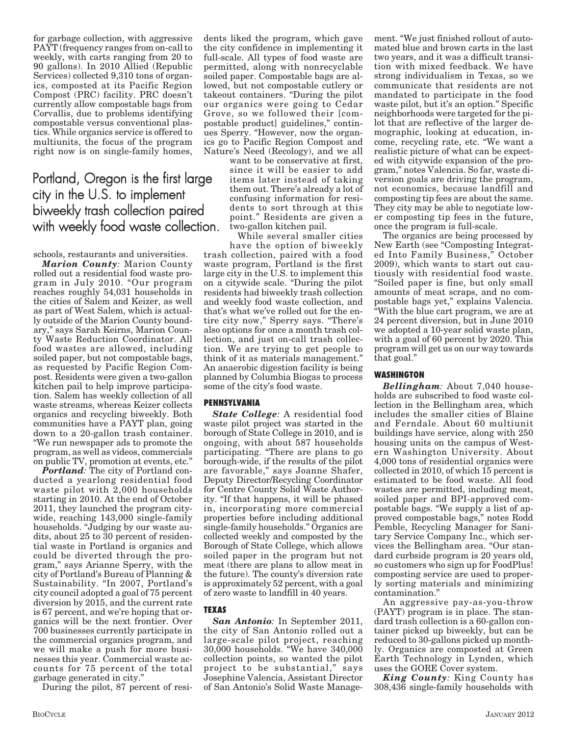for garbage collection, with aggressive PAYT (frequency ranges from on-call to weekly, with carts ranging from 20 to 90 gallons). In 2010 Allied (Republic Services) collected 9,310 tons of organics, composted at its Pacific Region Compost (PRC) facility. PRC doesn't currently allow compostable bags from Corvallis, due to problems identifying compostable versus conventional plastics. While organics service is offered to multiunits, the focus of the program right now is on single-family homes,

### Portland, Oregon is the first large city in the U.S. to implement biweekly trash collection paired with weekly food waste collection.

schools, restaurants and universities.

*Marion County:* Marion County rolled out a residential food waste program in July 2010. "Our program reaches roughly 54,031 households in the cities of Salem and Keizer, as well as part of West Salem, which is actually outside of the Marion County boundary," says Sarah Keirns, Marion County Waste Reduction Coordinator. All food wastes are allowed, including soiled paper, but not compostable bags, as requested by Pacific Region Compost. Residents were given a two-gallon kitchen pail to help improve participation. Salem has weekly collection of all waste streams, whereas Keizer collects organics and recycling biweekly. Both communities have a PAYT plan, going down to a 20-gallon trash container. "We run newspaper ads to promote the program, as well as videos, commercials on public TV, promotion at events, etc."

*Portland:* The city of Portland conducted a yearlong residential food waste pilot with 2,000 households starting in 2010. At the end of October 2011, they launched the program citywide, reaching 143,000 single-family households. "Judging by our waste audits, about 25 to 30 percent of residential waste in Portland is organics and could be diverted through the program," says Arianne Sperry, with the city of Portland's Bureau of Planning & Sustainability. "In 2007, Portland's city council adopted a goal of 75 percent diversion by 2015, and the current rate is 67 percent, and we're hoping that organics will be the next frontier. Over 700 businesses currently participate in the commercial organics program, and we will make a push for more businesses this year. Commercial waste accounts for 75 percent of the total garbage generated in city."

During the pilot, 87 percent of resi-

dents liked the program, which gave the city confidence in implementing it full-scale. All types of food waste are permitted, along with nonrecyclable soiled paper. Compostable bags are allowed, but not compostable cutlery or takeout containers. "During the pilot our organics were going to Cedar Grove, so we followed their [compostable product] guidelines," continues Sperry. "However, now the organics go to Pacific Region Compost and Nature's Need (Recology), and we all

want to be conservative at first, since it will be easier to add items later instead of taking them out. There's already a lot of confusing information for residents to sort through at this point." Residents are given a two-gallon kitchen pail.

While several smaller cities

have the option of biweekly trash collection, paired with a food waste program, Portland is the first large city in the U.S. to implement this on a citywide scale. "During the pilot residents had biweekly trash collection and weekly food waste collection, and that's what we've rolled out for the entire city now," Sperry says. "There's also options for once a month trash collection, and just on-call trash collection. We are trying to get people to think of it as materials management." An anaerobic digestion facility is being planned by Columbia Biogas to process some of the city's food waste.

#### **PENNSYLVANIA**

*State College:* A residential food waste pilot project was started in the borough of State College in 2010, and is ongoing, with about 587 households participating. "There are plans to go borough-wide, if the results of the pilot are favorable," says Joanne Shafer, Deputy Director/Recycling Coordinator for Centre County Solid Waste Authority. "If that happens, it will be phased in, incorporating more commercial properties before including additional single-family households." Organics are collected weekly and composted by the Borough of State College, which allows soiled paper in the program but not meat (there are plans to allow meat in the future). The county's diversion rate is approximately 52 percent, with a goal of zero waste to landfill in 40 years.

#### **TEXAS**

*San Antonio:* In September 2011, the city of San Antonio rolled out a large-scale pilot project, reaching 30,000 households. "We have 340,000 collection points, so wanted the pilot project to be substantial," says Josephine Valencia, Assistant Director of San Antonio's Solid Waste Management. "We just finished rollout of automated blue and brown carts in the last two years, and it was a difficult transition with mixed feedback. We have strong individualism in Texas, so we communicate that residents are not mandated to participate in the food waste pilot, but it's an option." Specific neighborhoods were targeted for the pilot that are reflective of the larger demographic, looking at education, income, recycling rate, etc. "We want a realistic picture of what can be expected with citywide expansion of the program," notes Valencia. So far, waste diversion goals are driving the program, not economics, because landfill and composting tip fees are about the same. They city may be able to negotiate lower composting tip fees in the future, once the program is full-scale.

The organics are being processed by New Earth (see "Composting Integrated Into Family Business," October 2009), which wants to start out cautiously with residential food waste. "Soiled paper is fine, but only small amounts of meat scraps, and no compostable bags yet," explains Valencia. "With the blue cart program, we are at 24 percent diversion, but in June 2010 we adopted a 10-year solid waste plan, with a goal of 60 percent by 2020. This program will get us on our way towards that goal."

#### **WASHINGTON**

*Bellingham:* About 7,040 households are subscribed to food waste collection in the Bellingham area, which includes the smaller cities of Blaine and Ferndale. About 60 multiunit buildings have service, along with 250 housing units on the campus of Western Washington University. About 4,000 tons of residential organics were collected in 2010, of which 15 percent is estimated to be food waste. All food wastes are permitted, including meat, soiled paper and BPI-approved compostable bags. "We supply a list of approved compostable bags," notes Rodd Pemble, Recycling Manager for Sanitary Service Company Inc., which services the Bellingham area. "Our standard curbside program is 20 years old, so customers who sign up for FoodPlus! composting service are used to properly sorting materials and minimizing contamination."

An aggressive pay-as-you-throw (PAYT) program is in place. The standard trash collection is a 60-gallon container picked up biweekly, but can be reduced to 30-gallons picked up monthly. Organics are composted at Green Earth Technology in Lynden, which uses the GORE Cover system.

*King County:* King County has 308,436 single-family households with